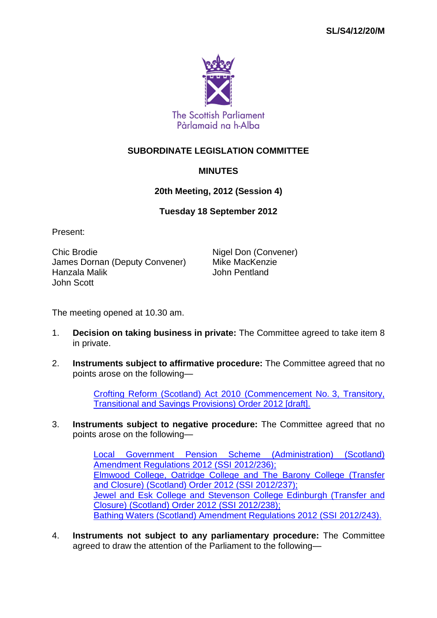

## **SUBORDINATE LEGISLATION COMMITTEE**

## **MINUTES**

## **20th Meeting, 2012 (Session 4)**

## **Tuesday 18 September 2012**

Present:

Chic Brodie **Nigel Don (Convener)** James Dornan (Deputy Convener) Mike MacKenzie Hanzala Malik John Scott

The meeting opened at 10.30 am.

- 1. **Decision on taking business in private:** The Committee agreed to take item 8 in private.
- 2. **Instruments subject to affirmative procedure:** The Committee agreed that no points arose on the following—

[Crofting Reform \(Scotland\) Act 2010 \(Commencement No.](http://www.legislation.gov.uk/sdsi/2012/9780111017821/contents) 3, Transitory, [Transitional and Savings Provisions\) Order 2012 \[draft\].](http://www.legislation.gov.uk/sdsi/2012/9780111017821/contents)

3. **Instruments subject to negative procedure:** The Committee agreed that no points arose on the following—

> [Local Government Pension Scheme \(Administration\) \(Scotland\)](http://www.legislation.gov.uk/ssi/2012/236/contents/made)  [Amendment Regulations 2012 \(SSI](http://www.legislation.gov.uk/ssi/2012/236/contents/made) 2012/236); [Elmwood College, Oatridge College and The Barony College \(Transfer](http://www.legislation.gov.uk/ssi/2012/237/contents/made)  [and Closure\) \(Scotland\) Order 2012 \(SSI](http://www.legislation.gov.uk/ssi/2012/237/contents/made) 2012/237); [Jewel and Esk College and Stevenson College Edinburgh \(Transfer and](http://www.legislation.gov.uk/ssi/2012/238/contents/made)  [Closure\) \(Scotland\) Order 2012 \(SSI](http://www.legislation.gov.uk/ssi/2012/238/contents/made) 2012/238); [Bathing Waters \(Scotland\) Amendment Regulations 2012 \(SSI](http://www.legislation.gov.uk/ssi/2012/243/contents/made) 2012/243).

4. **Instruments not subject to any parliamentary procedure:** The Committee agreed to draw the attention of the Parliament to the following